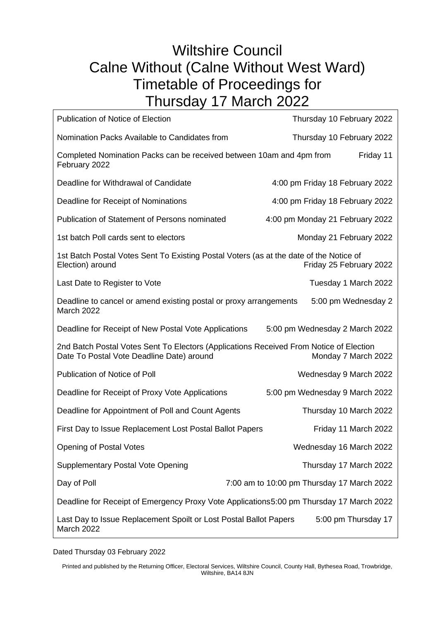## Wiltshire Council Calne Without (Calne Without West Ward) Timetable of Proceedings for Thursday 17 March 2022

| <b>Publication of Notice of Election</b>                                                                                            | Thursday 10 February 2022                  |
|-------------------------------------------------------------------------------------------------------------------------------------|--------------------------------------------|
| Nomination Packs Available to Candidates from                                                                                       | Thursday 10 February 2022                  |
| Completed Nomination Packs can be received between 10am and 4pm from<br>February 2022                                               | Friday 11                                  |
| Deadline for Withdrawal of Candidate                                                                                                | 4:00 pm Friday 18 February 2022            |
| Deadline for Receipt of Nominations                                                                                                 | 4:00 pm Friday 18 February 2022            |
| <b>Publication of Statement of Persons nominated</b>                                                                                | 4:00 pm Monday 21 February 2022            |
| 1st batch Poll cards sent to electors                                                                                               | Monday 21 February 2022                    |
| 1st Batch Postal Votes Sent To Existing Postal Voters (as at the date of the Notice of<br>Election) around                          | Friday 25 February 2022                    |
| Last Date to Register to Vote                                                                                                       | Tuesday 1 March 2022                       |
| Deadline to cancel or amend existing postal or proxy arrangements<br><b>March 2022</b>                                              | 5:00 pm Wednesday 2                        |
| Deadline for Receipt of New Postal Vote Applications                                                                                | 5:00 pm Wednesday 2 March 2022             |
| 2nd Batch Postal Votes Sent To Electors (Applications Received From Notice of Election<br>Date To Postal Vote Deadline Date) around | Monday 7 March 2022                        |
| Publication of Notice of Poll                                                                                                       | Wednesday 9 March 2022                     |
| Deadline for Receipt of Proxy Vote Applications                                                                                     | 5:00 pm Wednesday 9 March 2022             |
| Deadline for Appointment of Poll and Count Agents                                                                                   | Thursday 10 March 2022                     |
| First Day to Issue Replacement Lost Postal Ballot Papers                                                                            | Friday 11 March 2022                       |
| <b>Opening of Postal Votes</b>                                                                                                      | Wednesday 16 March 2022                    |
| <b>Supplementary Postal Vote Opening</b>                                                                                            | Thursday 17 March 2022                     |
| Day of Poll                                                                                                                         | 7:00 am to 10:00 pm Thursday 17 March 2022 |
| Deadline for Receipt of Emergency Proxy Vote Applications5:00 pm Thursday 17 March 2022                                             |                                            |
| Last Day to Issue Replacement Spoilt or Lost Postal Ballot Papers<br>5:00 pm Thursday 17<br><b>March 2022</b>                       |                                            |

Dated Thursday 03 February 2022